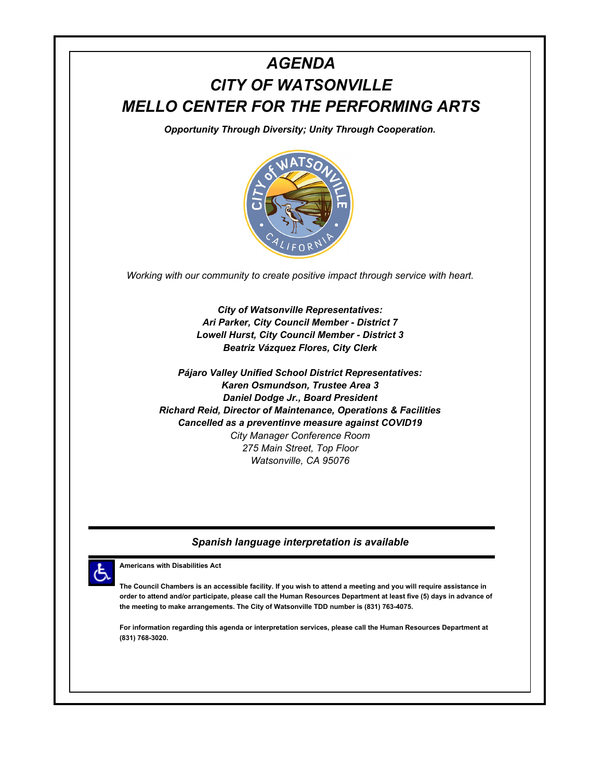## *AGENDA CITY OF WATSONVILLE MELLO CENTER FOR THE PERFORMING ARTS*

*Opportunity Through Diversity; Unity Through Cooperation.*



*Working with our community to create positive impact through service with heart.*

*City of Watsonville Representatives: Ari Parker, City Council Member - District 7 Lowell Hurst, City Council Member - District 3 Beatriz Vázquez Flores, City Clerk*

*Pájaro Valley Unified School District Representatives: Karen Osmundson, Trustee Area 3 Daniel Dodge Jr., Board President Richard Reid, Director of Maintenance, Operations & Facilities Cancelled as a preventinve measure against COVID19 City Manager Conference Room 275 Main Street, Top Floor Watsonville, CA 95076*

## *Spanish language interpretation is available*



**Americans with Disabilities Act**

**The Council Chambers is an accessible facility. If you wish to attend a meeting and you will require assistance in order to attend and/or participate, please call the Human Resources Department at least five (5) days in advance of the meeting to make arrangements. The City of Watsonville TDD number is (831) 763-4075.**

**For information regarding this agenda or interpretation services, please call the Human Resources Department at (831) 768-3020.**